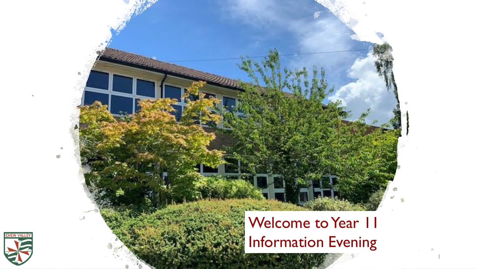#### Welcome to Year II Information Evening

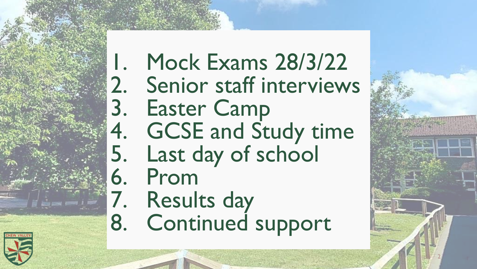1. Mock Exams 28/3/22 2. Senior staff interviews<br>3. Easter Camp Easter Camp 4. GCSE and Study time<br>5. Last day of school Last day of school 6. Prom 7. Results day 8. Continued support

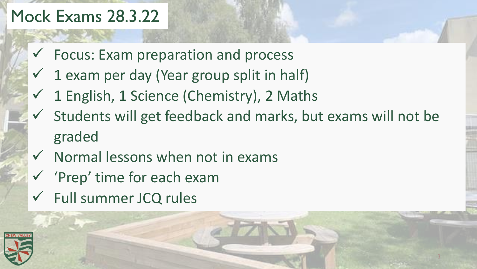#### Mock Exams 28.3.22

- $\checkmark$  Focus: Exam preparation and process
- $\checkmark$  1 exam per day (Year group split in half)
- $\checkmark$  1 English, 1 Science (Chemistry), 2 Maths
- $\checkmark$  Students will get feedback and marks, but exams will not be graded

- $\checkmark$  Normal lessons when not in exams
- ✓ 'Prep' time for each exam
- ✓ Full summer JCQ rules

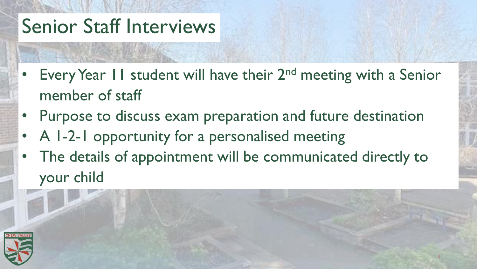# Senior Staff Interviews

- Every Year 11 student will have their 2<sup>nd</sup> meeting with a Senior member of staff
- Purpose to discuss exam preparation and future destination
- A 1-2-1 opportunity for a personalised meeting
- The details of appointment will be communicated directly to your child

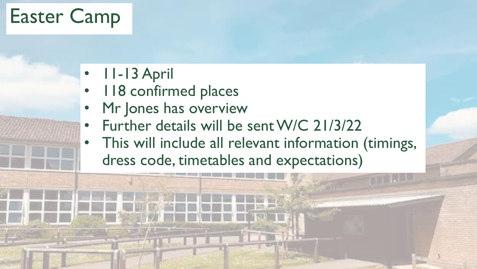### Easter Camp

- 11-13 April
- 118 confirmed places
- Mr Jones has overview
- Further details will be sent W/C 21/3/22
- This will include all relevant information (timings, dress code, timetables and expectations)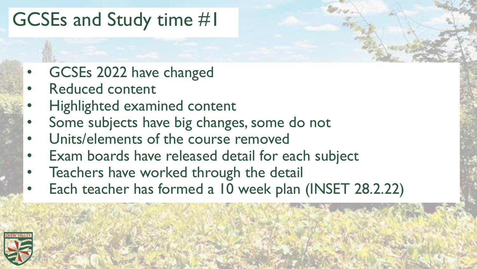### GCSEs and Study time #1

- GCSEs 2022 have changed
- Reduced content
- Highlighted examined content
- Some subjects have big changes, some do not
- Units/elements of the course removed
- Exam boards have released detail for each subject
- Teachers have worked through the detail
- Each teacher has formed a 10 week plan (INSET 28.2.22)

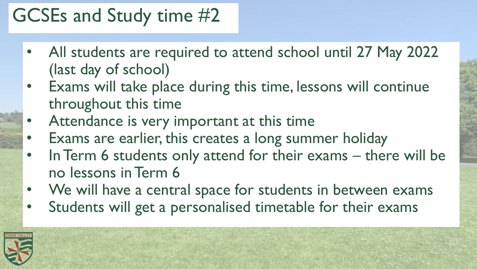### GCSEs and Study time #2

- All students are required to attend school until 27 May 2022 (last day of school)
- Exams will take place during this time, lessons will continue throughout this time
- Attendance is very important at this time
- Exams are earlier, this creates a long summer holiday
- In Term 6 students only attend for their exams there will be no lessons in Term 6

- We will have a central space for students in between exams
- Students will get a personalised timetable for their exams

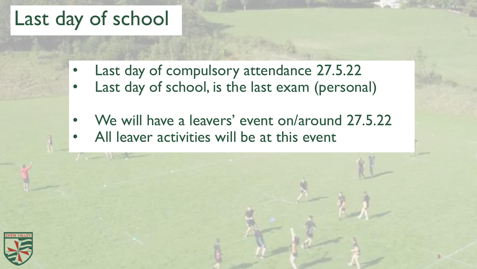### Last day of school

- Last day of compulsory attendance 27.5.22
- Last day of school, is the last exam (personal)
- We will have a leavers' event on/around 27.5.22
- All leaver activities will be at this event

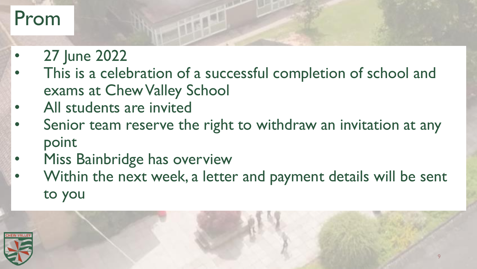### Prom

- 27 June 2022
- This is a celebration of a successful completion of school and exams at Chew Valley School
- All students are invited
- Senior team reserve the right to withdraw an invitation at any point
- Miss Bainbridge has overview
- Within the next week, a letter and payment details will be sent to you

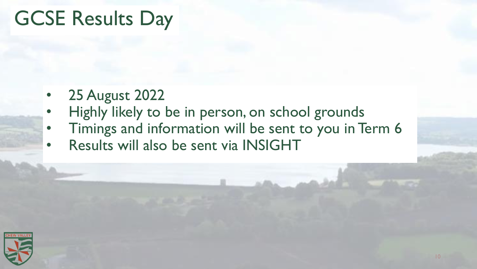## GCSE Results Day

- 25 August 2022
- Highly likely to be in person, on school grounds
- Timings and information will be sent to you in Term 6
- Results will also be sent via INSIGHT